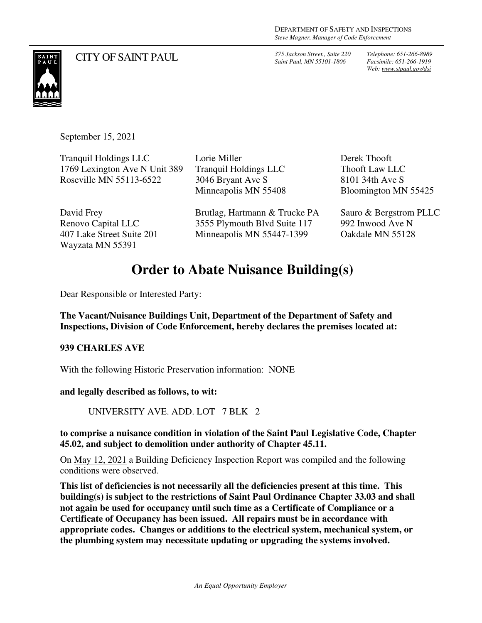CITY OF SAINT PAUL *375 Jackson Street., Suite 220 Saint Paul, MN 55101-1806*

*Telephone: 651-266-8989 Facsimile: 651-266-1919 Web: www.stpaul.gov/dsi*



September 15, 2021

| <b>Tranquil Holdings LLC</b><br>1769 Lexington Ave N Unit 389<br>Roseville MN 55113-6522 | Lorie Miller<br><b>Tranquil Holdings LLC</b><br>3046 Bryant Ave S<br>Minneapolis MN 55408 | Derek Thooft<br><b>Thooft Law LLC</b><br>8101 34th Ave S<br>Bloomington MN 55425 |
|------------------------------------------------------------------------------------------|-------------------------------------------------------------------------------------------|----------------------------------------------------------------------------------|
| David Frey                                                                               | Brutlag, Hartmann & Trucke PA                                                             | Sauro & Bergstrom PLLC                                                           |
| Renovo Capital LLC<br>407 Lake Street Suite 201                                          | 3555 Plymouth Blvd Suite 117<br>Minneapolis MN 55447-1399                                 | 992 Inwood Ave N<br>Oakdale MN 55128                                             |
| Wayzata MN 55391                                                                         |                                                                                           |                                                                                  |

## **Order to Abate Nuisance Building(s)**

Dear Responsible or Interested Party:

**The Vacant/Nuisance Buildings Unit, Department of the Department of Safety and Inspections, Division of Code Enforcement, hereby declares the premises located at:** 

#### **939 CHARLES AVE**

With the following Historic Preservation information: NONE

**and legally described as follows, to wit:** 

UNIVERSITY AVE. ADD. LOT 7 BLK 2

**to comprise a nuisance condition in violation of the Saint Paul Legislative Code, Chapter 45.02, and subject to demolition under authority of Chapter 45.11.** 

On May 12, 2021 a Building Deficiency Inspection Report was compiled and the following conditions were observed.

**This list of deficiencies is not necessarily all the deficiencies present at this time. This building(s) is subject to the restrictions of Saint Paul Ordinance Chapter 33.03 and shall not again be used for occupancy until such time as a Certificate of Compliance or a Certificate of Occupancy has been issued. All repairs must be in accordance with appropriate codes. Changes or additions to the electrical system, mechanical system, or the plumbing system may necessitate updating or upgrading the systems involved.**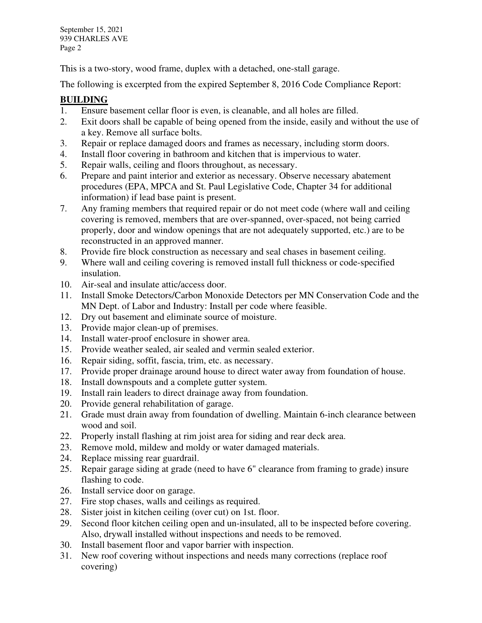This is a two-story, wood frame, duplex with a detached, one-stall garage.

The following is excerpted from the expired September 8, 2016 Code Compliance Report:

### **BUILDING**

- 1. Ensure basement cellar floor is even, is cleanable, and all holes are filled.
- 2. Exit doors shall be capable of being opened from the inside, easily and without the use of a key. Remove all surface bolts.
- 3. Repair or replace damaged doors and frames as necessary, including storm doors.
- 4. Install floor covering in bathroom and kitchen that is impervious to water.
- 5. Repair walls, ceiling and floors throughout, as necessary.
- 6. Prepare and paint interior and exterior as necessary. Observe necessary abatement procedures (EPA, MPCA and St. Paul Legislative Code, Chapter 34 for additional information) if lead base paint is present.
- 7. Any framing members that required repair or do not meet code (where wall and ceiling covering is removed, members that are over-spanned, over-spaced, not being carried properly, door and window openings that are not adequately supported, etc.) are to be reconstructed in an approved manner.
- 8. Provide fire block construction as necessary and seal chases in basement ceiling.
- 9. Where wall and ceiling covering is removed install full thickness or code-specified insulation.
- 10. Air-seal and insulate attic/access door.
- 11. Install Smoke Detectors/Carbon Monoxide Detectors per MN Conservation Code and the MN Dept. of Labor and Industry: Install per code where feasible.
- 12. Dry out basement and eliminate source of moisture.
- 13. Provide major clean-up of premises.
- 14. Install water-proof enclosure in shower area.
- 15. Provide weather sealed, air sealed and vermin sealed exterior.
- 16. Repair siding, soffit, fascia, trim, etc. as necessary.
- 17. Provide proper drainage around house to direct water away from foundation of house.
- 18. Install downspouts and a complete gutter system.
- 19. Install rain leaders to direct drainage away from foundation.
- 20. Provide general rehabilitation of garage.
- 21. Grade must drain away from foundation of dwelling. Maintain 6-inch clearance between wood and soil.
- 22. Properly install flashing at rim joist area for siding and rear deck area.
- 23. Remove mold, mildew and moldy or water damaged materials.
- 24. Replace missing rear guardrail.<br>25. Repair garage siding at grade (n
- Repair garage siding at grade (need to have 6" clearance from framing to grade) insure flashing to code.
- 26. Install service door on garage.
- 27. Fire stop chases, walls and ceilings as required.
- 28. Sister joist in kitchen ceiling (over cut) on 1st. floor.
- 29. Second floor kitchen ceiling open and un-insulated, all to be inspected before covering. Also, drywall installed without inspections and needs to be removed.
- 30. Install basement floor and vapor barrier with inspection.
- 31. New roof covering without inspections and needs many corrections (replace roof covering)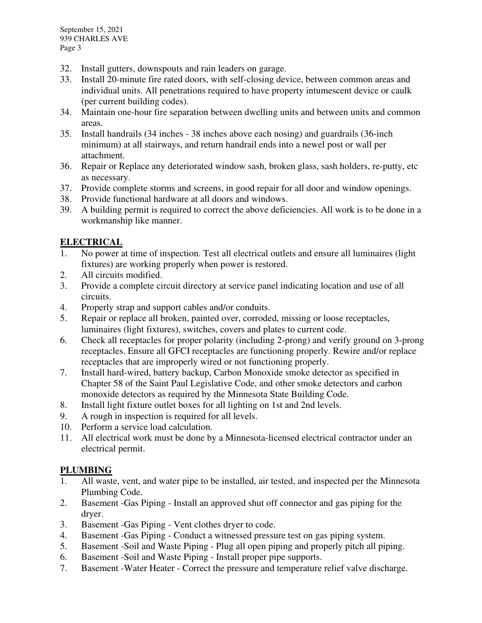- 32. Install gutters, downspouts and rain leaders on garage.
- 33. Install 20-minute fire rated doors, with self-closing device, between common areas and individual units. All penetrations required to have property intumescent device or caulk (per current building codes).
- 34. Maintain one-hour fire separation between dwelling units and between units and common areas.
- 35. Install handrails (34 inches 38 inches above each nosing) and guardrails (36-inch minimum) at all stairways, and return handrail ends into a newel post or wall per attachment.
- 36. Repair or Replace any deteriorated window sash, broken glass, sash holders, re-putty, etc as necessary.
- 37. Provide complete storms and screens, in good repair for all door and window openings.
- 38. Provide functional hardware at all doors and windows.
- 39. A building permit is required to correct the above deficiencies. All work is to be done in a workmanship like manner.

### **ELECTRICAL**

- 1. No power at time of inspection. Test all electrical outlets and ensure all luminaires (light fixtures) are working properly when power is restored.
- 2. All circuits modified.
- 3. Provide a complete circuit directory at service panel indicating location and use of all circuits.
- 4. Properly strap and support cables and/or conduits.
- 5. Repair or replace all broken, painted over, corroded, missing or loose receptacles, luminaires (light fixtures), switches, covers and plates to current code.
- 6. Check all receptacles for proper polarity (including 2-prong) and verify ground on 3-prong receptacles. Ensure all GFCI receptacles are functioning properly. Rewire and/or replace receptacles that are improperly wired or not functioning properly.
- 7. Install hard-wired, battery backup, Carbon Monoxide smoke detector as specified in Chapter 58 of the Saint Paul Legislative Code, and other smoke detectors and carbon monoxide detectors as required by the Minnesota State Building Code.
- 8. Install light fixture outlet boxes for all lighting on 1st and 2nd levels.
- 9. A rough in inspection is required for all levels.
- 10. Perform a service load calculation.
- 11. All electrical work must be done by a Minnesota-licensed electrical contractor under an electrical permit.

#### **PLUMBING**

- 1. All waste, vent, and water pipe to be installed, air tested, and inspected per the Minnesota Plumbing Code.
- 2. Basement -Gas Piping Install an approved shut off connector and gas piping for the dryer.
- 3. Basement -Gas Piping Vent clothes dryer to code.
- 4. Basement -Gas Piping Conduct a witnessed pressure test on gas piping system.
- 5. Basement -Soil and Waste Piping Plug all open piping and properly pitch all piping.
- 6. Basement -Soil and Waste Piping Install proper pipe supports.
- 7. Basement -Water Heater Correct the pressure and temperature relief valve discharge.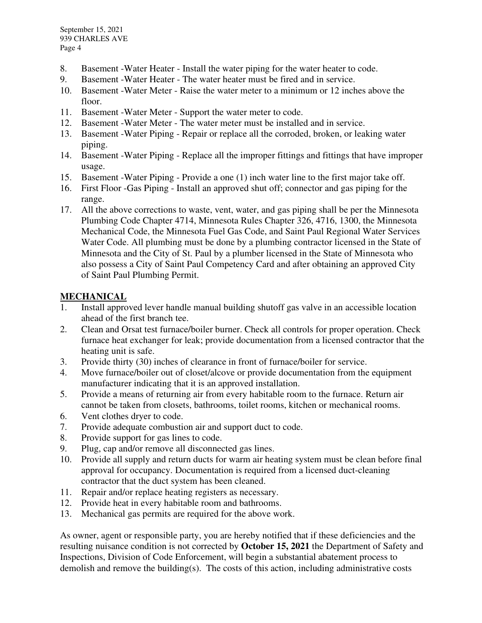- 8. Basement -Water Heater Install the water piping for the water heater to code.
- 9. Basement -Water Heater The water heater must be fired and in service.
- 10. Basement -Water Meter Raise the water meter to a minimum or 12 inches above the floor.
- 11. Basement -Water Meter Support the water meter to code.
- 12. Basement -Water Meter The water meter must be installed and in service.
- 13. Basement -Water Piping Repair or replace all the corroded, broken, or leaking water piping.
- 14. Basement -Water Piping Replace all the improper fittings and fittings that have improper usage.
- 15. Basement -Water Piping Provide a one (1) inch water line to the first major take off.
- 16. First Floor -Gas Piping Install an approved shut off; connector and gas piping for the range.
- 17. All the above corrections to waste, vent, water, and gas piping shall be per the Minnesota Plumbing Code Chapter 4714, Minnesota Rules Chapter 326, 4716, 1300, the Minnesota Mechanical Code, the Minnesota Fuel Gas Code, and Saint Paul Regional Water Services Water Code. All plumbing must be done by a plumbing contractor licensed in the State of Minnesota and the City of St. Paul by a plumber licensed in the State of Minnesota who also possess a City of Saint Paul Competency Card and after obtaining an approved City of Saint Paul Plumbing Permit.

#### **MECHANICAL**

- 1. Install approved lever handle manual building shutoff gas valve in an accessible location ahead of the first branch tee.
- 2. Clean and Orsat test furnace/boiler burner. Check all controls for proper operation. Check furnace heat exchanger for leak; provide documentation from a licensed contractor that the heating unit is safe.
- 3. Provide thirty (30) inches of clearance in front of furnace/boiler for service.
- 4. Move furnace/boiler out of closet/alcove or provide documentation from the equipment manufacturer indicating that it is an approved installation.
- 5. Provide a means of returning air from every habitable room to the furnace. Return air cannot be taken from closets, bathrooms, toilet rooms, kitchen or mechanical rooms.
- 6. Vent clothes dryer to code.
- 7. Provide adequate combustion air and support duct to code.
- 8. Provide support for gas lines to code.
- 9. Plug, cap and/or remove all disconnected gas lines.
- 10. Provide all supply and return ducts for warm air heating system must be clean before final approval for occupancy. Documentation is required from a licensed duct-cleaning contractor that the duct system has been cleaned.
- 11. Repair and/or replace heating registers as necessary.
- 12. Provide heat in every habitable room and bathrooms.
- 13. Mechanical gas permits are required for the above work.

As owner, agent or responsible party, you are hereby notified that if these deficiencies and the resulting nuisance condition is not corrected by **October 15, 2021** the Department of Safety and Inspections, Division of Code Enforcement, will begin a substantial abatement process to demolish and remove the building(s). The costs of this action, including administrative costs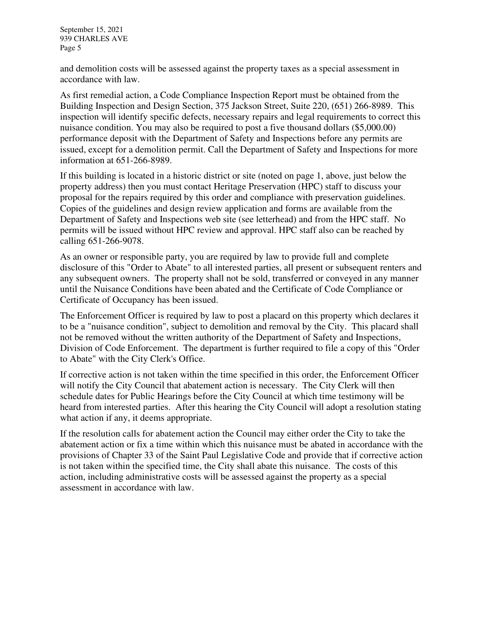and demolition costs will be assessed against the property taxes as a special assessment in accordance with law.

As first remedial action, a Code Compliance Inspection Report must be obtained from the Building Inspection and Design Section, 375 Jackson Street, Suite 220, (651) 266-8989. This inspection will identify specific defects, necessary repairs and legal requirements to correct this nuisance condition. You may also be required to post a five thousand dollars (\$5,000.00) performance deposit with the Department of Safety and Inspections before any permits are issued, except for a demolition permit. Call the Department of Safety and Inspections for more information at 651-266-8989.

If this building is located in a historic district or site (noted on page 1, above, just below the property address) then you must contact Heritage Preservation (HPC) staff to discuss your proposal for the repairs required by this order and compliance with preservation guidelines. Copies of the guidelines and design review application and forms are available from the Department of Safety and Inspections web site (see letterhead) and from the HPC staff. No permits will be issued without HPC review and approval. HPC staff also can be reached by calling 651-266-9078.

As an owner or responsible party, you are required by law to provide full and complete disclosure of this "Order to Abate" to all interested parties, all present or subsequent renters and any subsequent owners. The property shall not be sold, transferred or conveyed in any manner until the Nuisance Conditions have been abated and the Certificate of Code Compliance or Certificate of Occupancy has been issued.

The Enforcement Officer is required by law to post a placard on this property which declares it to be a "nuisance condition", subject to demolition and removal by the City. This placard shall not be removed without the written authority of the Department of Safety and Inspections, Division of Code Enforcement. The department is further required to file a copy of this "Order to Abate" with the City Clerk's Office.

If corrective action is not taken within the time specified in this order, the Enforcement Officer will notify the City Council that abatement action is necessary. The City Clerk will then schedule dates for Public Hearings before the City Council at which time testimony will be heard from interested parties. After this hearing the City Council will adopt a resolution stating what action if any, it deems appropriate.

If the resolution calls for abatement action the Council may either order the City to take the abatement action or fix a time within which this nuisance must be abated in accordance with the provisions of Chapter 33 of the Saint Paul Legislative Code and provide that if corrective action is not taken within the specified time, the City shall abate this nuisance. The costs of this action, including administrative costs will be assessed against the property as a special assessment in accordance with law.